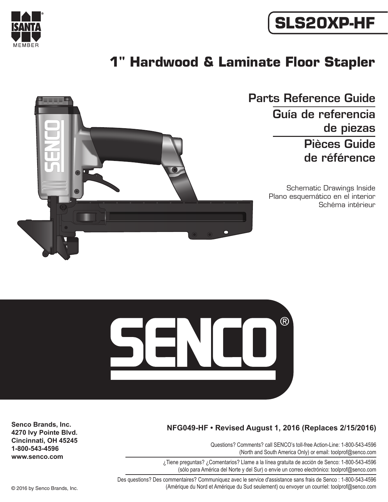

# **SLS20XP-HF**

## **1" Hardwood & Laminate Floor Stapler**



Parts Reference Guide Guía de referencia de piezas Pièces Guide de référence

> Schematic Drawings Inside Plano esquemático en el interior Schéma intérieur



#### **NFG049-HF • Revised August 1, 2016 (Replaces 2/15/2016)**

Questions? Comments? call SENCO's toll-free Action-Line: 1-800-543-4596 (North and South America Only) or email: toolprof@senco.com

¿Tiene preguntas? ¿Comentarios? Llame a la línea gratuita de acción de Senco: 1-800-543-4596 (sólo para América del Norte y del Sur) o envíe un correo electrónico: toolprof@senco.com

Des questions? Des commentaires? Communiquez avec le service d'assistance sans frais de Senco : 1-800-543-4596 © 2016 by Senco Brands, Inc. (Amérique du Nord et Amérique du Sud seulement) ou envoyer un courriel: toolprof@senco.com

**Senco Brands, Inc. 4270 Ivy Pointe Blvd. Cincinnati, OH 45245 1-800-543-4596 www.senco.com**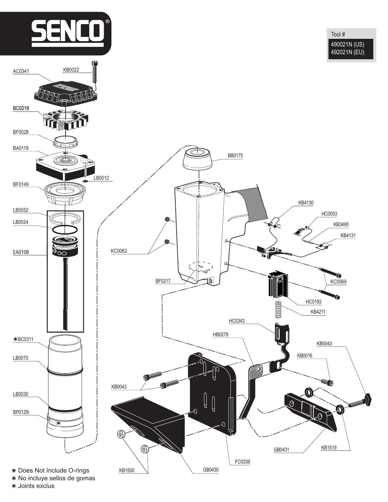

No incluye sellos de gomas

Joints exclus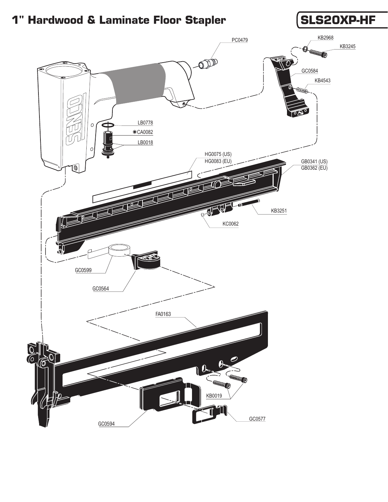### **1" Hardwood & Laminate Floor Stapler (SLS20XP-HF**